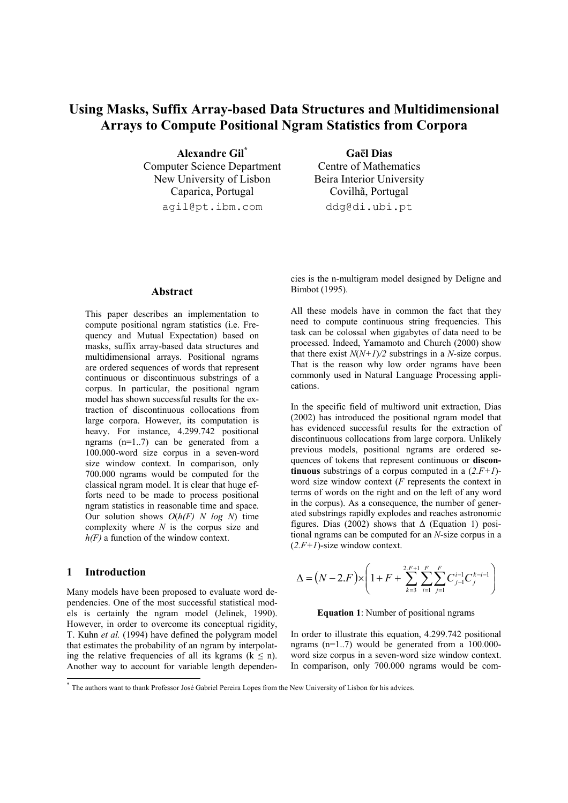# **Using Masks, Suffix Array-based Data Structures and Multidimensional Arrays to Compute Positional Ngram Statistics from Corpora**

**Alexandre Gil\*** Computer Science Department New University of Lisbon Caparica, Portugal agil@pt.ibm.com

**Gaël Dias**  Centre of Mathematics Beira Interior University Covilhã, Portugal ddg@di.ubi.pt

### **Abstract**

This paper describes an implementation to compute positional ngram statistics (i.e. Frequency and Mutual Expectation) based on masks, suffix array-based data structures and multidimensional arrays. Positional ngrams are ordered sequences of words that represent continuous or discontinuous substrings of a corpus. In particular, the positional ngram model has shown successful results for the extraction of discontinuous collocations from large corpora. However, its computation is heavy. For instance, 4.299.742 positional ngrams (n=1..7) can be generated from a 100.000-word size corpus in a seven-word size window context. In comparison, only 700.000 ngrams would be computed for the classical ngram model. It is clear that huge efforts need to be made to process positional ngram statistics in reasonable time and space. Our solution shows *O*(*h(F) N log N*) time complexity where *N* is the corpus size and *h(F)* a function of the window context.

### **1 Introduction**

1

Many models have been proposed to evaluate word dependencies. One of the most successful statistical models is certainly the ngram model (Jelinek, 1990). However, in order to overcome its conceptual rigidity, T. Kuhn *et al.* (1994) have defined the polygram model that estimates the probability of an ngram by interpolating the relative frequencies of all its kgrams ( $k \le n$ ). Another way to account for variable length dependencies is the n-multigram model designed by Deligne and Bimbot (1995).

All these models have in common the fact that they need to compute continuous string frequencies. This task can be colossal when gigabytes of data need to be processed. Indeed, Yamamoto and Church (2000) show that there exist  $N(N+1)/2$  substrings in a *N*-size corpus. That is the reason why low order ngrams have been commonly used in Natural Language Processing applications.

In the specific field of multiword unit extraction, Dias (2002) has introduced the positional ngram model that has evidenced successful results for the extraction of discontinuous collocations from large corpora. Unlikely previous models, positional ngrams are ordered sequences of tokens that represent continuous or **discontinuous** substrings of a corpus computed in a (*2.F+1*) word size window context (*F* represents the context in terms of words on the right and on the left of any word in the corpus). As a consequence, the number of generated substrings rapidly explodes and reaches astronomic figures. Dias (2002) shows that  $\Delta$  (Equation 1) positional ngrams can be computed for an *N*-size corpus in a (*2.F+1*)-size window context.

$$
\Delta = (N - 2.F) \times \left(1 + F + \sum_{k=3}^{2.F+1} \sum_{i=1}^{F} \sum_{j=1}^{F} C_{j-1}^{i-1} C_j^{k-i-1}\right)
$$

### **Equation 1**: Number of positional ngrams

In order to illustrate this equation, 4.299.742 positional ngrams  $(n=1..7)$  would be generated from a 100.000word size corpus in a seven-word size window context. In comparison, only 700.000 ngrams would be com-

<sup>\*</sup> The authors want to thank Professor José Gabriel Pereira Lopes from the New University of Lisbon for his advices.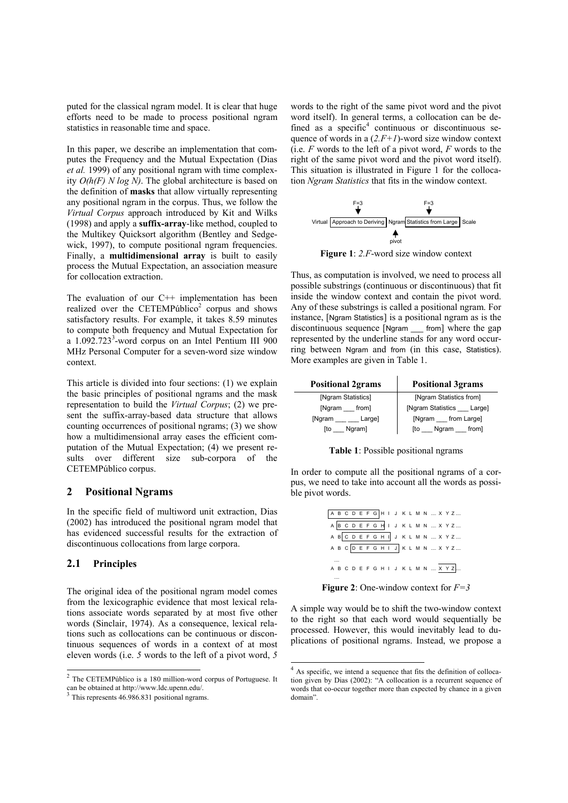puted for the classical ngram model. It is clear that huge efforts need to be made to process positional ngram statistics in reasonable time and space.

In this paper, we describe an implementation that computes the Frequency and the Mutual Expectation (Dias *et al.* 1999) of any positional ngram with time complexity *O(h(F) N log N)*. The global architecture is based on the definition of **masks** that allow virtually representing any positional ngram in the corpus. Thus, we follow the *Virtual Corpus* approach introduced by Kit and Wilks (1998) and apply a **suffix-array**-like method, coupled to the Multikey Quicksort algorithm (Bentley and Sedgewick, 1997), to compute positional ngram frequencies. Finally, a **multidimensional array** is built to easily process the Mutual Expectation, an association measure for collocation extraction.

The evaluation of our  $C^{++}$  implementation has been realized over the CETEMPúblico<sup>2</sup> corpus and shows satisfactory results. For example, it takes 8.59 minutes to compute both frequency and Mutual Expectation for a 1.092.723<sup>3</sup>-word corpus on an Intel Pentium III 900 MHz Personal Computer for a seven-word size window context.

This article is divided into four sections: (1) we explain the basic principles of positional ngrams and the mask representation to build the *Virtual Corpus*; (2) we present the suffix-array-based data structure that allows counting occurrences of positional ngrams; (3) we show how a multidimensional array eases the efficient computation of the Mutual Expectation; (4) we present results over different size sub-corpora of the CETEMPúblico corpus.

# **2 Positional Ngrams**

In the specific field of multiword unit extraction, Dias (2002) has introduced the positional ngram model that has evidenced successful results for the extraction of discontinuous collocations from large corpora.

### **2.1 Principles**

 $\overline{a}$ 

The original idea of the positional ngram model comes from the lexicographic evidence that most lexical relations associate words separated by at most five other words (Sinclair, 1974). As a consequence, lexical relations such as collocations can be continuous or discontinuous sequences of words in a context of at most eleven words (i.e. *5* words to the left of a pivot word, *5*

words to the right of the same pivot word and the pivot word itself). In general terms, a collocation can be defined as a specific $4$  continuous or discontinuous sequence of words in a (*2.F+1*)-word size window context (i.e. *F* words to the left of a pivot word, *F* words to the right of the same pivot word and the pivot word itself). This situation is illustrated in Figure 1 for the collocation *Ngram Statistics* that fits in the window context.



**Figure 1**: *2.F*-word size window context

Thus, as computation is involved, we need to process all possible substrings (continuous or discontinuous) that fit inside the window context and contain the pivot word. Any of these substrings is called a positional ngram. For instance, [Ngram Statistics] is a positional ngram as is the discontinuous sequence [Ngram \_\_\_ from] where the gap represented by the underline stands for any word occurring between Ngram and from (in this case, Statistics). More examples are given in Table 1.

| <b>Positional 2grams</b> | <b>Positional 3grams</b>    |  |  |
|--------------------------|-----------------------------|--|--|
| [Ngram Statistics]       | [Ngram Statistics from]     |  |  |
| [Ngram<br>from]          | [Ngram Statistics __ Large] |  |  |
| [Ngram<br>Large]         | [Ngram from Large]          |  |  |
| Ngram]<br>ſto            | from]<br>Ngram<br>ſto       |  |  |

**Table 1**: Possible positional ngrams

In order to compute all the positional ngrams of a corpus, we need to take into account all the words as possible pivot words.

A B C D E F G H I J K L M N .... X Y Z .... A B C D E F G H I J K L M N .... X Y Z .... A B C D E F G H I J K L M N .... X Y Z .... A B C D E F G H I J K L M N .... X Y Z .... A B C D E F G H I J K L M N .... X Y Z .... .... ....

**Figure 2**: One-window context for *F=3*

A simple way would be to shift the two-window context to the right so that each word would sequentially be processed. However, this would inevitably lead to duplications of positional ngrams. Instead, we propose a

l

 $2$  The CETEMPúblico is a 180 million-word corpus of Portuguese. It can be obtained at http://www.ldc.upenn.edu/.

<sup>&</sup>lt;sup>3</sup> This represents 46.986.831 positional ngrams.

 $4$  As specific, we intend a sequence that fits the definition of collocation given by Dias (2002): "A collocation is a recurrent sequence of words that co-occur together more than expected by chance in a given domain".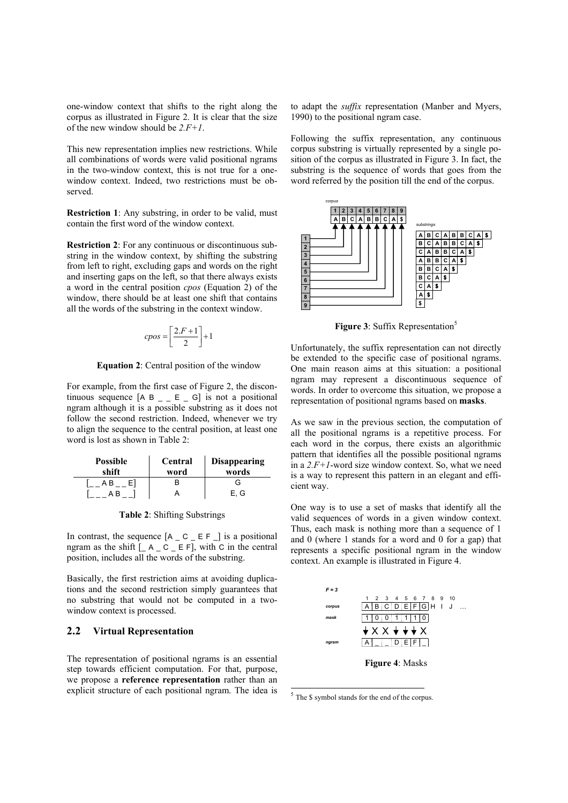one-window context that shifts to the right along the corpus as illustrated in Figure 2. It is clear that the size of the new window should be *2.F+1*.

This new representation implies new restrictions. While all combinations of words were valid positional ngrams in the two-window context, this is not true for a onewindow context. Indeed, two restrictions must be observed.

**Restriction 1**: Any substring, in order to be valid, must contain the first word of the window context.

**Restriction 2**: For any continuous or discontinuous substring in the window context, by shifting the substring from left to right, excluding gaps and words on the right and inserting gaps on the left, so that there always exists a word in the central position *cpos* (Equation 2) of the window, there should be at least one shift that contains all the words of the substring in the context window.

$$
cpos = \left[\frac{2.F + 1}{2}\right] + 1
$$

**Equation 2**: Central position of the window

For example, from the first case of Figure 2, the discontinuous sequence  $[A B]_{\perp} E_{\perp} G$  is not a positional ngram although it is a possible substring as it does not follow the second restriction. Indeed, whenever we try to align the sequence to the central position, at least one word is lost as shown in Table 2:

| <b>Possible</b><br>shift | Central<br>word | <b>Disappearing</b><br>words |  |
|--------------------------|-----------------|------------------------------|--|
|                          |                 | G                            |  |
|                          |                 | E.G                          |  |

**Table 2**: Shifting Substrings

In contrast, the sequence  $[A \_ C \_ E \_ F \_ ]$  is a positional ngram as the shift  $[-A \_C \_E F]$ , with C in the central position, includes all the words of the substring.

Basically, the first restriction aims at avoiding duplications and the second restriction simply guarantees that no substring that would not be computed in a twowindow context is processed.

# **2.2 Virtual Representation**

The representation of positional ngrams is an essential step towards efficient computation. For that, purpose, we propose a **reference representation** rather than an explicit structure of each positional ngram. The idea is to adapt the *suffix* representation (Manber and Myers, 1990) to the positional ngram case.

Following the suffix representation, any continuous corpus substring is virtually represented by a single position of the corpus as illustrated in Figure 3. In fact, the substring is the sequence of words that goes from the word referred by the position till the end of the corpus.



**Figure 3**: Suffix Representation<sup>5</sup>

Unfortunately, the suffix representation can not directly be extended to the specific case of positional ngrams. One main reason aims at this situation: a positional ngram may represent a discontinuous sequence of words. In order to overcome this situation, we propose a representation of positional ngrams based on **masks**.

As we saw in the previous section, the computation of all the positional ngrams is a repetitive process. For each word in the corpus, there exists an algorithmic pattern that identifies all the possible positional ngrams in a *2.F+1*-word size window context. So, what we need is a way to represent this pattern in an elegant and efficient way.

One way is to use a set of masks that identify all the valid sequences of words in a given window context. Thus, each mask is nothing more than a sequence of 1 and 0 (where 1 stands for a word and 0 for a gap) that represents a specific positional ngram in the window context. An example is illustrated in Figure 4.



<sup>5</sup> The \$ symbol stands for the end of the corpus.

 $\overline{a}$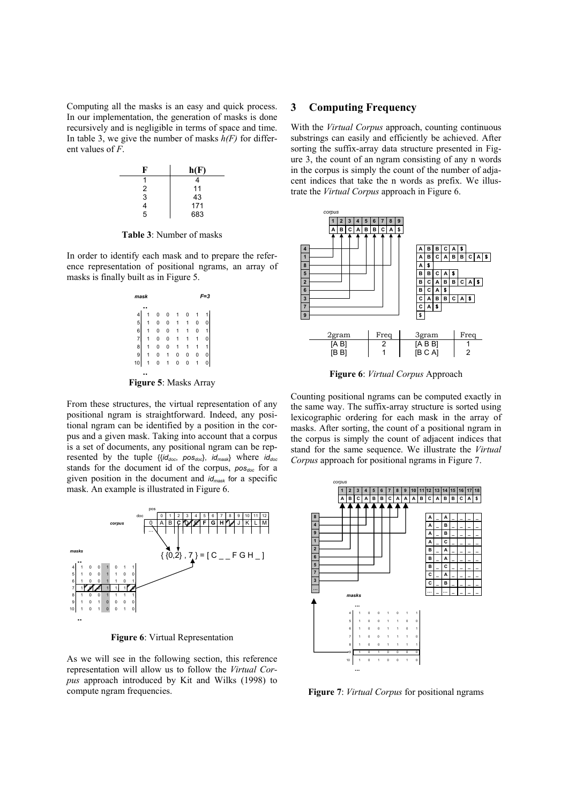Computing all the masks is an easy and quick process. In our implementation, the generation of masks is done recursively and is negligible in terms of space and time. In table 3, we give the number of masks  $h(F)$  for different values of *F*.



**Table 3**: Number of masks

In order to identify each mask and to prepare the reference representation of positional ngrams, an array of masks is finally built as in Figure 5.



**Figure 5**: Masks Array

From these structures, the virtual representation of any positional ngram is straightforward. Indeed, any positional ngram can be identified by a position in the corpus and a given mask. Taking into account that a corpus is a set of documents, any positional ngram can be represented by the tuple {{*iddoc*, *posdoc*}, *idmask*} where *iddoc* stands for the document id of the corpus, *posdoc* for a given position in the document and *idmask* for a specific mask. An example is illustrated in Figure 6.



**Figure 6**: Virtual Representation

As we will see in the following section, this reference representation will allow us to follow the *Virtual Corpus* approach introduced by Kit and Wilks (1998) to compute ngram frequencies.

# **3 Computing Frequency**

With the *Virtual Corpus* approach, counting continuous substrings can easily and efficiently be achieved. After sorting the suffix-array data structure presented in Figure 3, the count of an ngram consisting of any n words in the corpus is simply the count of the number of adjacent indices that take the n words as prefix. We illustrate the *Virtual Corpus* approach in Figure 6.



**Figure 6**: *Virtual Corpus* Approach

Counting positional ngrams can be computed exactly in the same way. The suffix-array structure is sorted using lexicographic ordering for each mask in the array of masks. After sorting, the count of a positional ngram in the corpus is simply the count of adjacent indices that stand for the same sequence. We illustrate the *Virtual Corpus* approach for positional ngrams in Figure 7.



**Figure 7**: *Virtual Corpus* for positional ngrams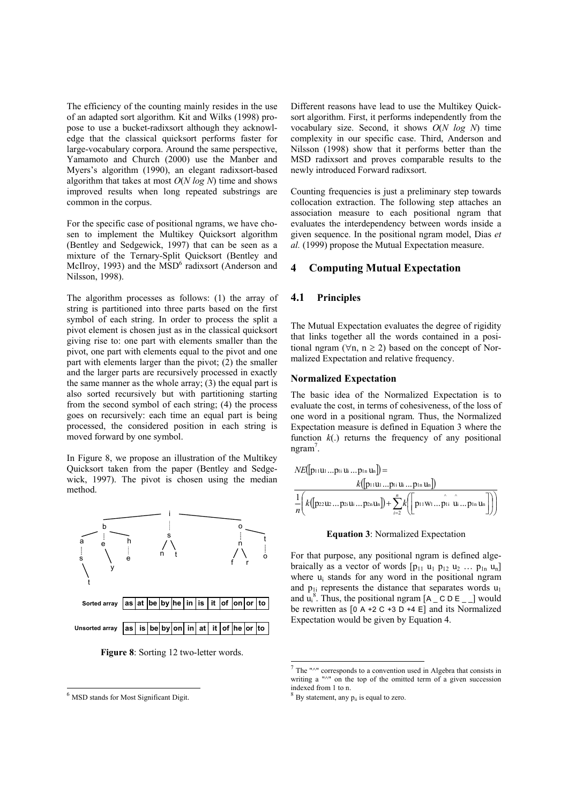The efficiency of the counting mainly resides in the use of an adapted sort algorithm. Kit and Wilks (1998) propose to use a bucket-radixsort although they acknowledge that the classical quicksort performs faster for large-vocabulary corpora. Around the same perspective, Yamamoto and Church (2000) use the Manber and Myers's algorithm (1990), an elegant radixsort-based algorithm that takes at most *O*(*N log N*) time and shows improved results when long repeated substrings are common in the corpus.

For the specific case of positional ngrams, we have chosen to implement the Multikey Quicksort algorithm (Bentley and Sedgewick, 1997) that can be seen as a mixture of the Ternary-Split Quicksort (Bentley and McIlroy, 1993) and the MSD<sup>6</sup> radixsort (Anderson and Nilsson, 1998).

The algorithm processes as follows: (1) the array of string is partitioned into three parts based on the first symbol of each string. In order to process the split a pivot element is chosen just as in the classical quicksort giving rise to: one part with elements smaller than the pivot, one part with elements equal to the pivot and one part with elements larger than the pivot; (2) the smaller and the larger parts are recursively processed in exactly the same manner as the whole array; (3) the equal part is also sorted recursively but with partitioning starting from the second symbol of each string; (4) the process goes on recursively: each time an equal part is being processed, the considered position in each string is moved forward by one symbol.

In Figure 8, we propose an illustration of the Multikey Quicksort taken from the paper (Bentley and Sedgewick, 1997). The pivot is chosen using the median method.



**Figure 8**: Sorting 12 two-letter words.

1

Different reasons have lead to use the Multikey Quicksort algorithm. First, it performs independently from the vocabulary size. Second, it shows *O*(*N log N*) time complexity in our specific case. Third, Anderson and Nilsson (1998) show that it performs better than the MSD radixsort and proves comparable results to the newly introduced Forward radixsort.

Counting frequencies is just a preliminary step towards collocation extraction. The following step attaches an association measure to each positional ngram that evaluates the interdependency between words inside a given sequence. In the positional ngram model, Dias *et al.* (1999) propose the Mutual Expectation measure.

# **4 Computing Mutual Expectation**

### **4.1 Principles**

The Mutual Expectation evaluates the degree of rigidity that links together all the words contained in a positional ngram ( $\forall$ n, n ≥ 2) based on the concept of Normalized Expectation and relative frequency.

### **Normalized Expectation**

The basic idea of the Normalized Expectation is to evaluate the cost, in terms of cohesiveness, of the loss of one word in a positional ngram. Thus, the Normalized Expectation measure is defined in Equation 3 where the function  $k(.)$  returns the frequency of any positional ngram<sup>7</sup>.

$$
NE([\mathbf{p}_{11}\mathbf{u}_{1}...\mathbf{p}_{1i}\mathbf{u}_{i}...\mathbf{p}_{1n}\mathbf{u}_{n}]) =
$$
  
\n
$$
\frac{1}{n}\left(k([\mathbf{p}_{22}\mathbf{u}_{2}... \mathbf{p}_{2i}\mathbf{u}_{i}... \mathbf{p}_{2n}\mathbf{u}_{n}]) + \sum_{i=2}^{n} k\left(\left[p_{11}\mathbf{w}_{1}...\hat{p}_{1i}\hat{\mathbf{u}}_{i}... \mathbf{p}_{1n}\mathbf{u}_{n}\right]\right)\right)
$$

#### **Equation 3**: Normalized Expectation

For that purpose, any positional ngram is defined algebraically as a vector of words  $[p_{11} u_1 p_{12} u_2 ... p_{1n} u_n]$ where  $u_i$  stands for any word in the positional ngram and  $p_{1i}$  represents the distance that separates words  $u_1$ and  $\mathbf{u}_i^8$ . Thus, the positional ngram  $[A \_ C \ D \ E \_ ]$  would be rewritten as  $[0 A + 2 C + 3 D + 4 E]$  and its Normalized Expectation would be given by Equation 4.

l

<sup>6</sup> MSD stands for Most Significant Digit.

 $<sup>7</sup>$  The " $\sim$ " corresponds to a convention used in Algebra that consists in</sup> writing a "^" on the top of the omitted term of a given succession indexed from 1 to n.

 $8$  By statement, any  $p_{ii}$  is equal to zero.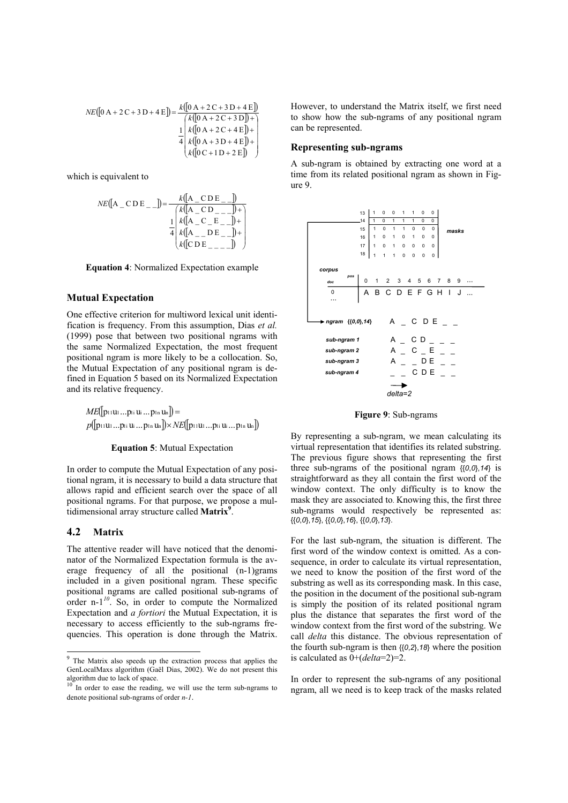$$
NE([0 A + 2 C + 3 D + 4 E]) = \frac{k([0 A + 2 C + 3 D + 4 E])}{k([0 A + 2 C + 3 D]) + \frac{1}{4} \left[\begin{array}{l} k([0 A + 2 C + 4 E]) + k([0 A + 3 D + 4 E]) + k([0 C + 1 D + 2 E]) \end{array}\right]}
$$

which is equivalent to

$$
NE([A_CDE]_+) = \frac{k([A_CDE]_+)}{\frac{k([A_CDE]_+) + (A_CDE]_+) + (A_CDE]_+}{\frac{1}{4}k([A_CDE]_+) + (A_CDE]_+) + (A_CDE]_+}
$$

**Equation 4**: Normalized Expectation example

# **Mutual Expectation**

One effective criterion for multiword lexical unit identification is frequency. From this assumption, Dias *et al.* (1999) pose that between two positional ngrams with the same Normalized Expectation, the most frequent positional ngram is more likely to be a collocation. So, the Mutual Expectation of any positional ngram is defined in Equation 5 based on its Normalized Expectation and its relative frequency.

*ME*(|p11u1...p1i ui ...p1n un|) =  $p( |$ p11U1…pti Ui…ptn Un $| \rangle \times NE( |$ p11U1…pti Ui…ptn Un $| \rangle$ 

### **Equation 5**: Mutual Expectation

In order to compute the Mutual Expectation of any positional ngram, it is necessary to build a data structure that allows rapid and efficient search over the space of all positional ngrams. For that purpose, we propose a multidimensional array structure called **Matrix9** .

# **4.2 Matrix**

 $\overline{a}$ 

The attentive reader will have noticed that the denominator of the Normalized Expectation formula is the average frequency of all the positional (n-1)grams included in a given positional ngram. These specific positional ngrams are called positional sub-ngrams of order n-1*<sup>10</sup>*. So, in order to compute the Normalized Expectation and *a fortiori* the Mutual Expectation, it is necessary to access efficiently to the sub-ngrams frequencies. This operation is done through the Matrix.

However, to understand the Matrix itself, we first need to show how the sub-ngrams of any positional ngram can be represented.

# **Representing sub-ngrams**

A sub-ngram is obtained by extracting one word at a time from its related positional ngram as shown in Figure 9.



**Figure 9**: Sub-ngrams

By representing a sub-ngram, we mean calculating its virtual representation that identifies its related substring. The previous figure shows that representing the first three sub-ngrams of the positional ngram {{*0*,*0*},*14*} is straightforward as they all contain the first word of the window context. The only difficulty is to know the mask they are associated to. Knowing this, the first three sub-ngrams would respectively be represented as: {{*0*,*0*},*15*}, {{*0*,*0*},*16*}, {{*0*,*0*},*13*}.

For the last sub-ngram, the situation is different. The first word of the window context is omitted. As a consequence, in order to calculate its virtual representation, we need to know the position of the first word of the substring as well as its corresponding mask. In this case, the position in the document of the positional sub-ngram is simply the position of its related positional ngram plus the distance that separates the first word of the window context from the first word of the substring. We call *delta* this distance. The obvious representation of the fourth sub-ngram is then {{*0*,*2*},*18*} where the position is calculated as 0+(*delta*=2)=2.

In order to represent the sub-ngrams of any positional ngram, all we need is to keep track of the masks related

<sup>9</sup> The Matrix also speeds up the extraction process that applies the GenLocalMaxs algorithm (Gaël Dias, 2002). We do not present this algorithm due to lack of space.<br><sup>10</sup> In order to ease the reading, we will use the term sub-ngrams to

denote positional sub-ngrams of order *n-1*.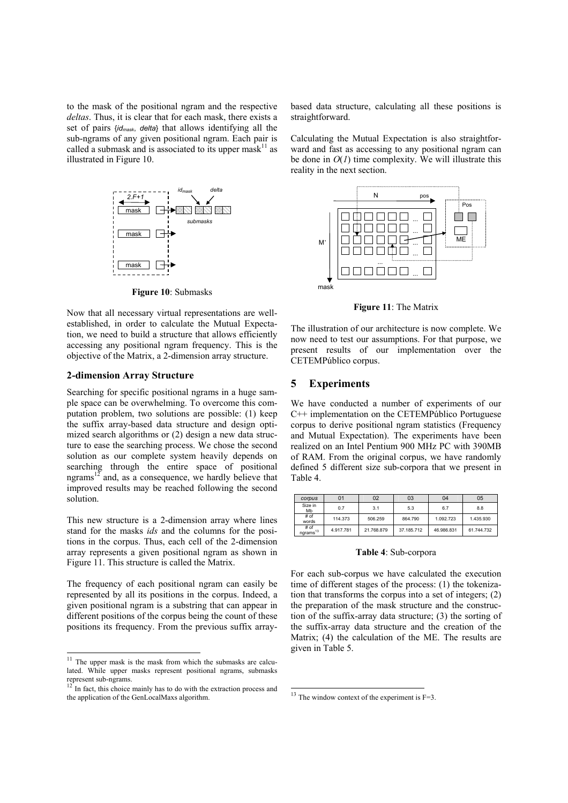to the mask of the positional ngram and the respective *deltas*. Thus, it is clear that for each mask, there exists a set of pairs {*idmask*, *delta*} that allows identifying all the sub-ngrams of any given positional ngram. Each pair is called a submask and is associated to its upper mask<sup>11</sup> as illustrated in Figure 10.



**Figure 10**: Submasks

Now that all necessary virtual representations are wellestablished, in order to calculate the Mutual Expectation, we need to build a structure that allows efficiently accessing any positional ngram frequency. This is the objective of the Matrix, a 2-dimension array structure.

### **2-dimension Array Structure**

Searching for specific positional ngrams in a huge sample space can be overwhelming. To overcome this computation problem, two solutions are possible: (1) keep the suffix array-based data structure and design optimized search algorithms or (2) design a new data structure to ease the searching process. We chose the second solution as our complete system heavily depends on searching through the entire space of positional ngrams<sup>12</sup> and, as a consequence, we hardly believe that improved results may be reached following the second solution.

This new structure is a 2-dimension array where lines stand for the masks *ids* and the columns for the positions in the corpus. Thus, each cell of the 2-dimension array represents a given positional ngram as shown in Figure 11. This structure is called the Matrix.

The frequency of each positional ngram can easily be represented by all its positions in the corpus. Indeed, a given positional ngram is a substring that can appear in different positions of the corpus being the count of these positions its frequency. From the previous suffix array-

 $\overline{a}$ 

based data structure, calculating all these positions is straightforward.

Calculating the Mutual Expectation is also straightforward and fast as accessing to any positional ngram can be done in  $O(1)$  time complexity. We will illustrate this reality in the next section.



**Figure 11**: The Matrix

The illustration of our architecture is now complete. We now need to test our assumptions. For that purpose, we present results of our implementation over the CETEMPúblico corpus.

### **5 Experiments**

We have conducted a number of experiments of our C++ implementation on the CETEMPúblico Portuguese corpus to derive positional ngram statistics (Frequency and Mutual Expectation). The experiments have been realized on an Intel Pentium 900 MHz PC with 390MB of RAM. From the original corpus, we have randomly defined 5 different size sub-corpora that we present in Table 4.

| corpus                       | 01        | 02         | 03         | 04         | 05         |
|------------------------------|-----------|------------|------------|------------|------------|
| Size in<br>Mb                | 0.7       | 3.1        | 5.3        | 6.7        | 8.8        |
| # of<br>words                | 114.373   | 506.259    | 864.790    | 1.092.723  | 1.435.930  |
| # of<br>ngrams <sup>13</sup> | 4.917.781 | 21.768.879 | 37.185.712 | 46.986.831 | 61.744.732 |

### **Table 4**: Sub-corpora

For each sub-corpus we have calculated the execution time of different stages of the process: (1) the tokenization that transforms the corpus into a set of integers; (2) the preparation of the mask structure and the construction of the suffix-array data structure; (3) the sorting of the suffix-array data structure and the creation of the Matrix; (4) the calculation of the ME. The results are given in Table 5.

 $\overline{a}$ 

 $11$  The upper mask is the mask from which the submasks are calculated. While upper masks represent positional ngrams, submasks represent sub-ngrams.<br> $12 \text{ In fact, this choice mainly has to do with the extraction process and}$ 

the application of the GenLocalMaxs algorithm.

 $13$  The window context of the experiment is F=3.